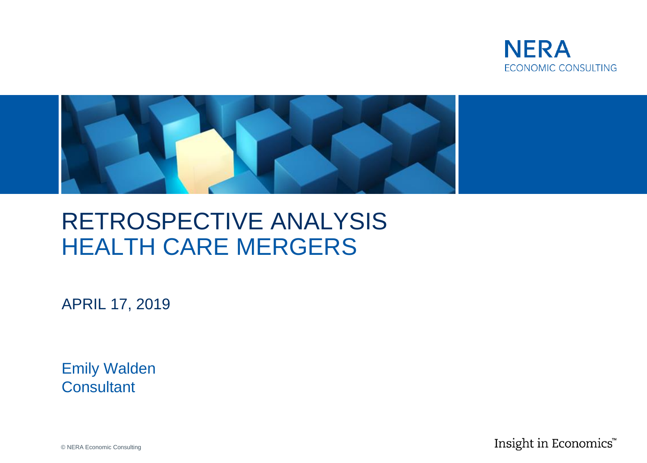



## RETROSPECTIVE ANALYSIS HEALTH CARE MERGERS

APRIL 17, 2019

Emily Walden **Consultant** 

Insight in Economics™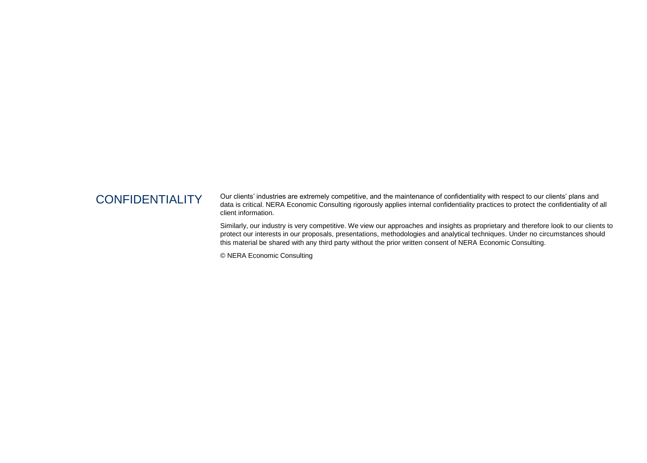CONFIDENTIALITY Our clients' industries are extremely competitive, and the maintenance of confidentiality with respect to our clients' plans and data is critical. NERA Economic Consulting rigorously applies internal confidentiality practices to protect the confidentiality of all client information.

> Similarly, our industry is very competitive. We view our approaches and insights as proprietary and therefore look to our clients to protect our interests in our proposals, presentations, methodologies and analytical techniques. Under no circumstances should this material be shared with any third party without the prior written consent of NERA Economic Consulting.

© NERA Economic Consulting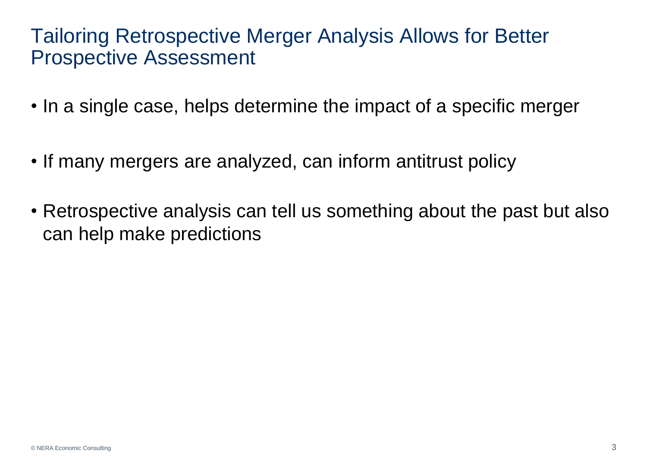#### Tailoring Retrospective Merger Analysis Allows for Better Prospective Assessment

- In a single case, helps determine the impact of a specific merger
- If many mergers are analyzed, can inform antitrust policy
- Retrospective analysis can tell us something about the past but also can help make predictions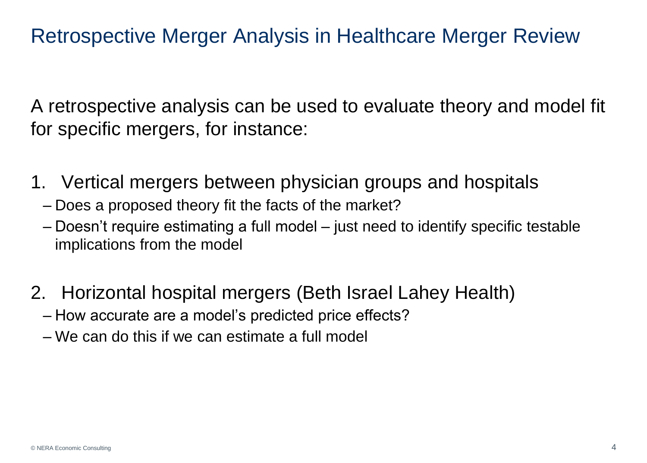#### Retrospective Merger Analysis in Healthcare Merger Review

A retrospective analysis can be used to evaluate theory and model fit for specific mergers, for instance:

- 1. Vertical mergers between physician groups and hospitals
	- Does a proposed theory fit the facts of the market?
	- Doesn't require estimating a full model just need to identify specific testable implications from the model
- 2. Horizontal hospital mergers (Beth Israel Lahey Health)
	- How accurate are a model's predicted price effects?
	- We can do this if we can estimate a full model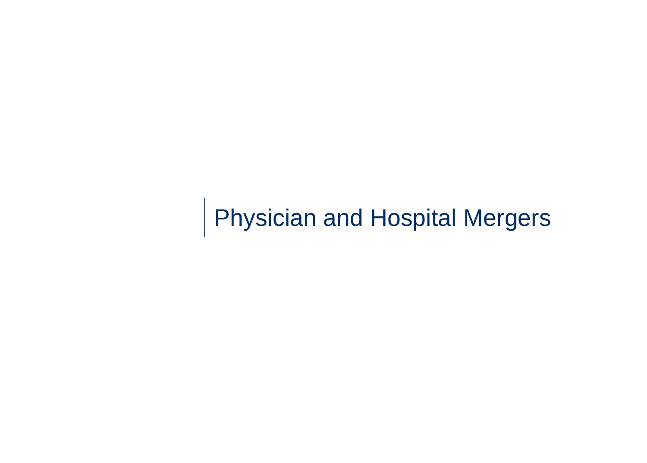Physician and Hospital Mergers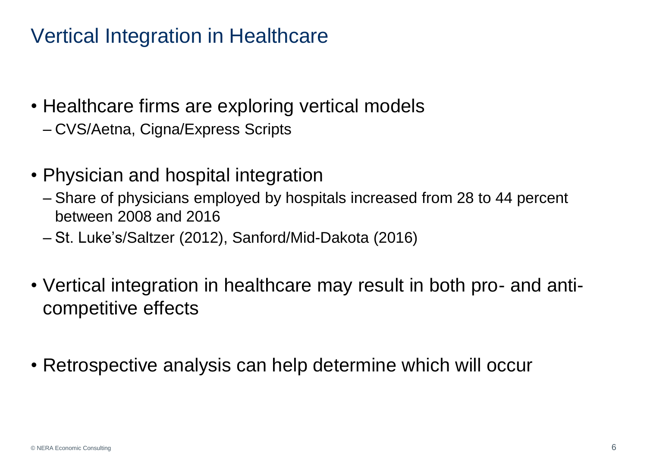#### Vertical Integration in Healthcare

- Healthcare firms are exploring vertical models
	- CVS/Aetna, Cigna/Express Scripts
- Physician and hospital integration
	- Share of physicians employed by hospitals increased from 28 to 44 percent between 2008 and 2016
	- St. Luke's/Saltzer (2012), Sanford/Mid-Dakota (2016)
- Vertical integration in healthcare may result in both pro- and anticompetitive effects
- Retrospective analysis can help determine which will occur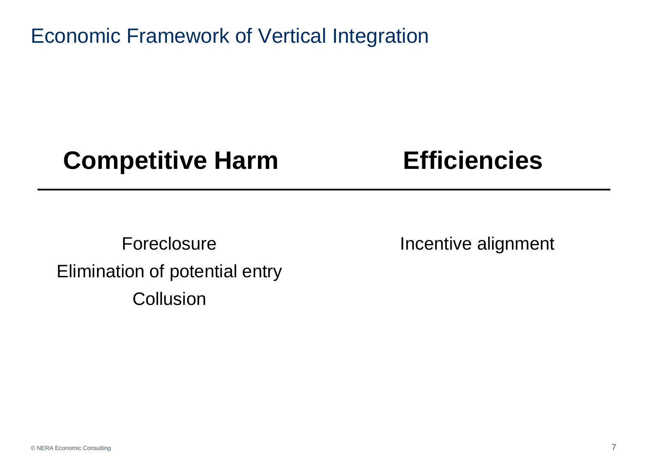Economic Framework of Vertical Integration

## **Competitive Harm Efficiencies**

Foreclosure Elimination of potential entry **Collusion** 

Incentive alignment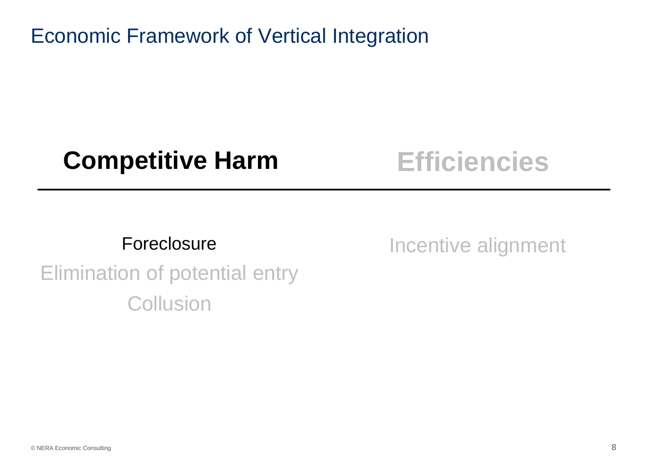Economic Framework of Vertical Integration

## **Competitive Harm Efficiencies**

#### Foreclosure

Incentive alignment

# Elimination of potential entry **Collusion**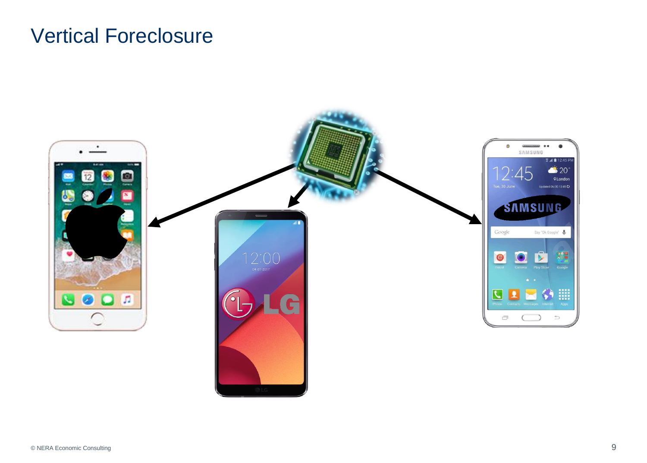#### Vertical Foreclosure

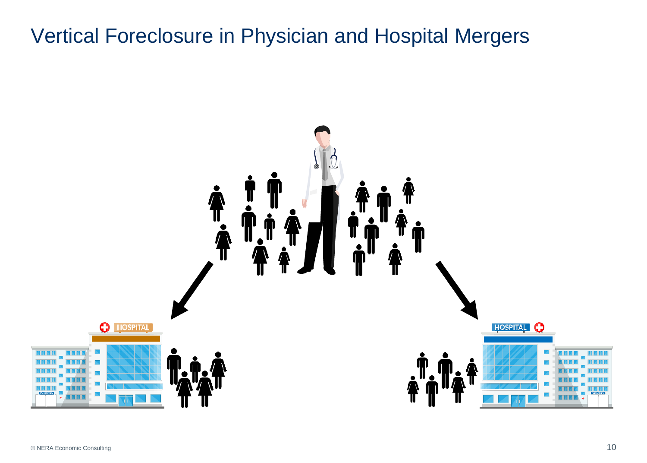## Vertical Foreclosure in Physician and Hospital Mergers

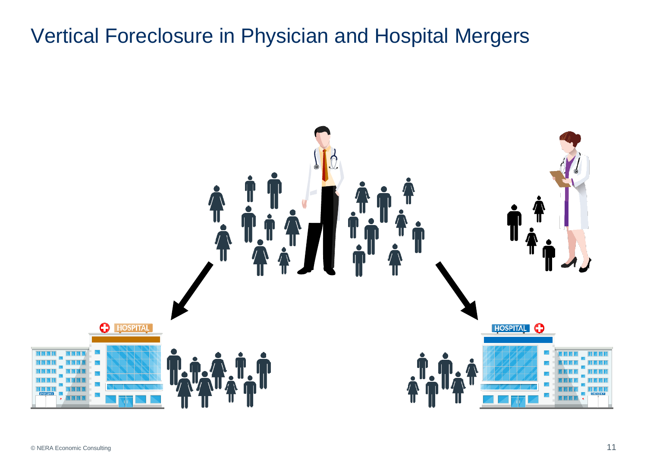## Vertical Foreclosure in Physician and Hospital Mergers

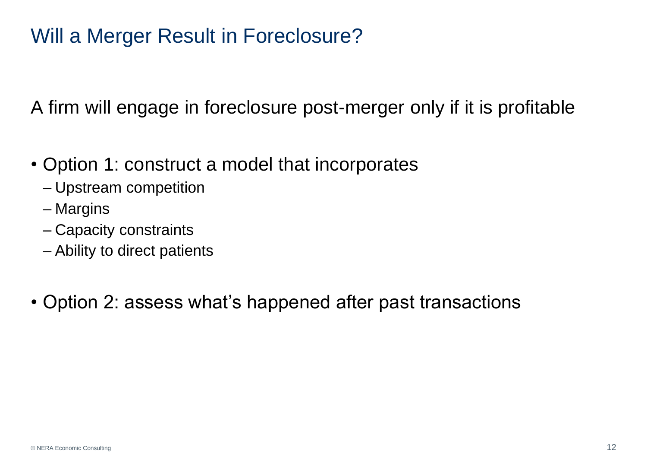#### Will a Merger Result in Foreclosure?

A firm will engage in foreclosure post-merger only if it is profitable

- Option 1: construct a model that incorporates
	- Upstream competition
	- Margins
	- Capacity constraints
	- Ability to direct patients
- Option 2: assess what's happened after past transactions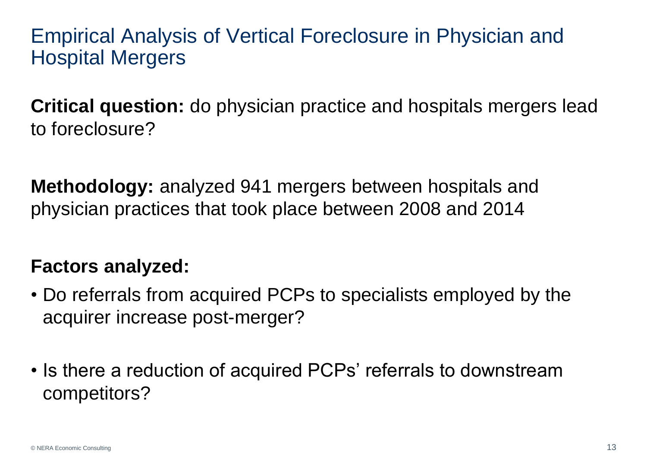Empirical Analysis of Vertical Foreclosure in Physician and Hospital Mergers

**Critical question:** do physician practice and hospitals mergers lead to foreclosure?

**Methodology:** analyzed 941 mergers between hospitals and physician practices that took place between 2008 and 2014

#### **Factors analyzed:**

- Do referrals from acquired PCPs to specialists employed by the acquirer increase post-merger?
- Is there a reduction of acquired PCPs' referrals to downstream competitors?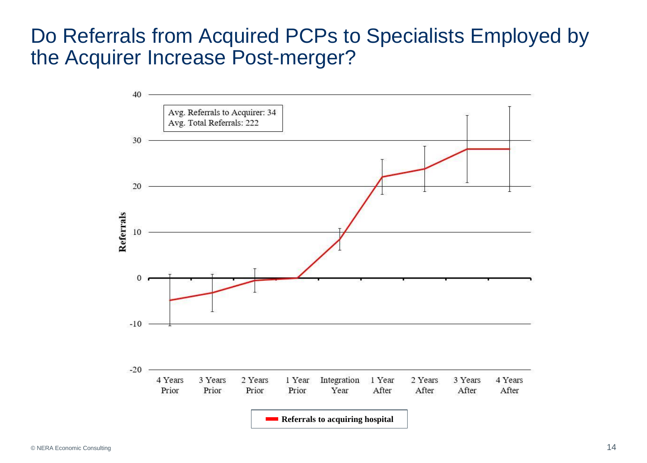#### Do Referrals from Acquired PCPs to Specialists Employed by the Acquirer Increase Post-merger?

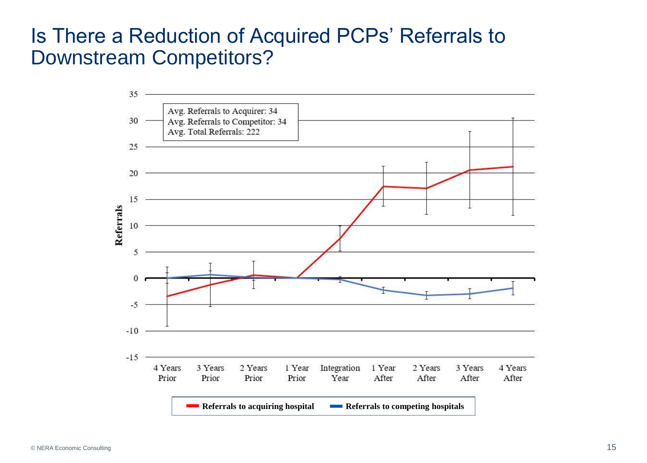#### Is There a Reduction of Acquired PCPs' Referrals to Downstream Competitors?

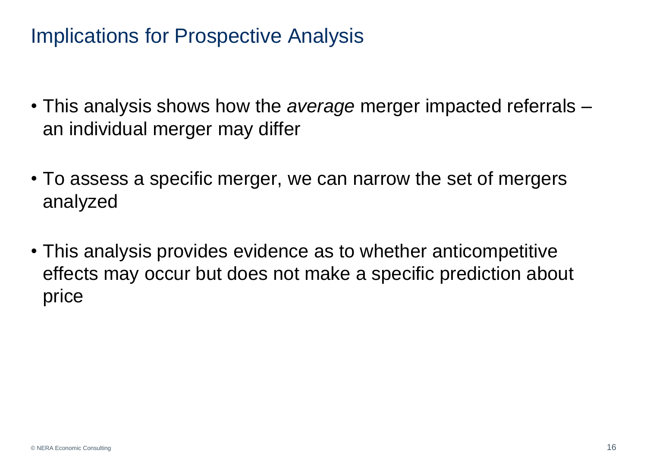#### Implications for Prospective Analysis

- This analysis shows how the *average* merger impacted referrals an individual merger may differ
- To assess a specific merger, we can narrow the set of mergers analyzed
- This analysis provides evidence as to whether anticompetitive effects may occur but does not make a specific prediction about price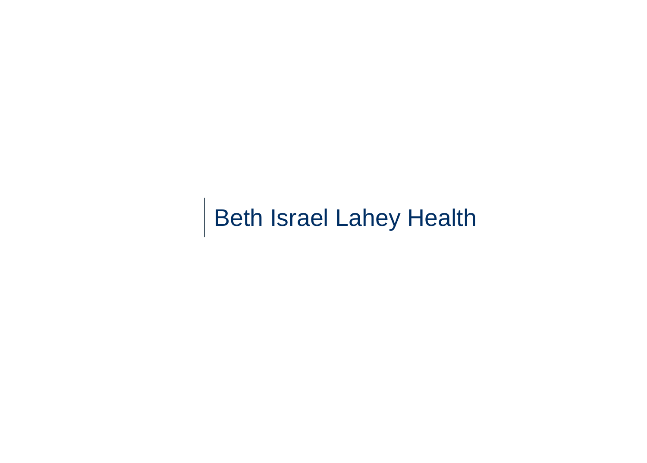Beth Israel Lahey Health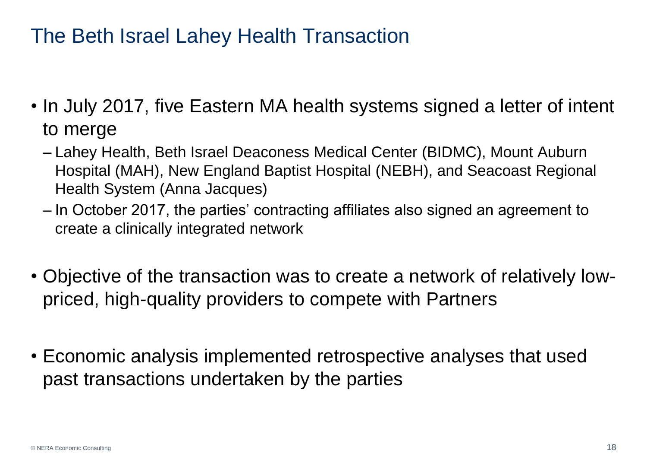### The Beth Israel Lahey Health Transaction

- In July 2017, five Eastern MA health systems signed a letter of intent to merge
	- Lahey Health, Beth Israel Deaconess Medical Center (BIDMC), Mount Auburn Hospital (MAH), New England Baptist Hospital (NEBH), and Seacoast Regional Health System (Anna Jacques)
	- In October 2017, the parties' contracting affiliates also signed an agreement to create a clinically integrated network
- Objective of the transaction was to create a network of relatively lowpriced, high-quality providers to compete with Partners
- Economic analysis implemented retrospective analyses that used past transactions undertaken by the parties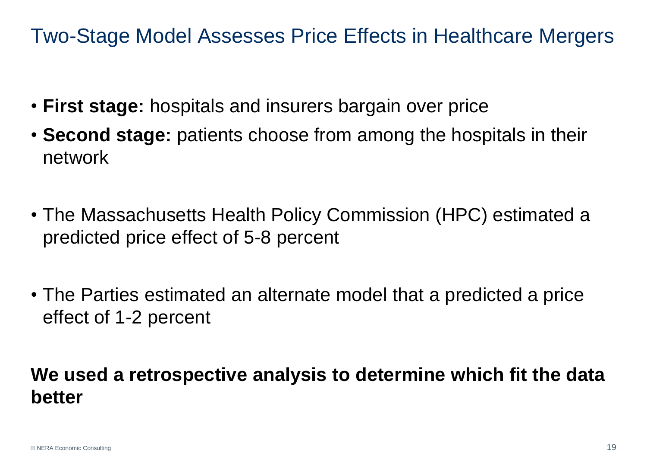Two-Stage Model Assesses Price Effects in Healthcare Mergers

- **First stage:** hospitals and insurers bargain over price
- **Second stage:** patients choose from among the hospitals in their network
- The Massachusetts Health Policy Commission (HPC) estimated a predicted price effect of 5-8 percent
- The Parties estimated an alternate model that a predicted a price effect of 1-2 percent

#### **We used a retrospective analysis to determine which fit the data better**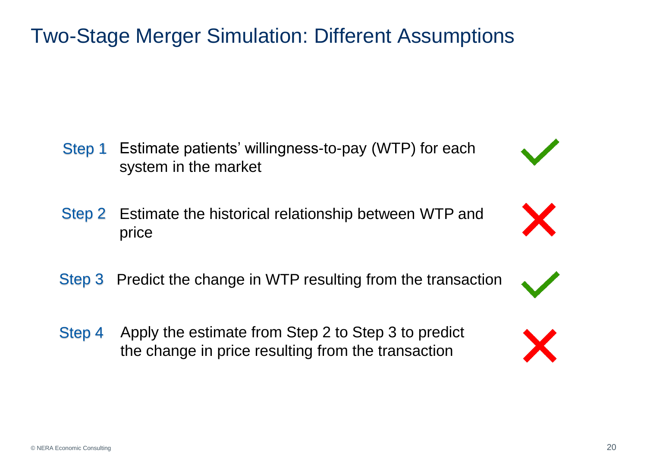#### Two-Stage Merger Simulation: Different Assumptions

- Estimate patients' willingness-to-pay (WTP) for each system in the market Step 1
- Estimate the historical relationship between WTP and price Step 2
- Step 3 Predict the change in WTP resulting from the transaction
- Apply the estimate from Step 2 to Step 3 to predict the change in price resulting from the transaction Step 4



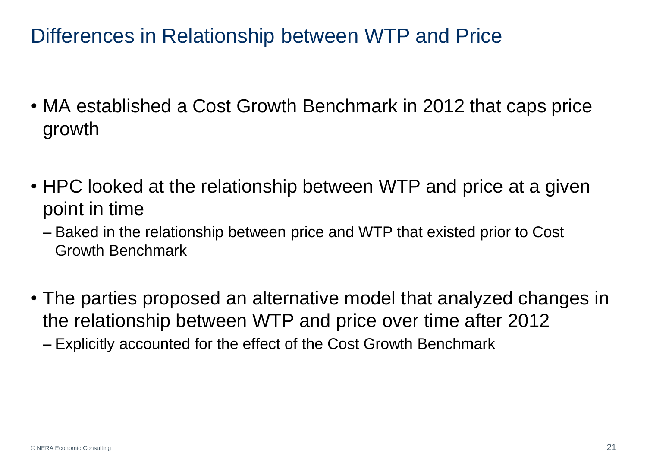#### Differences in Relationship between WTP and Price

- MA established a Cost Growth Benchmark in 2012 that caps price growth
- HPC looked at the relationship between WTP and price at a given point in time
	- Baked in the relationship between price and WTP that existed prior to Cost Growth Benchmark
- The parties proposed an alternative model that analyzed changes in the relationship between WTP and price over time after 2012
	- Explicitly accounted for the effect of the Cost Growth Benchmark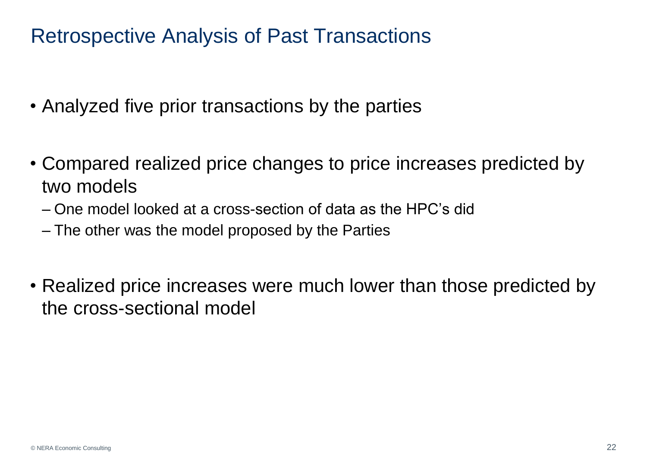#### Retrospective Analysis of Past Transactions

- Analyzed five prior transactions by the parties
- Compared realized price changes to price increases predicted by two models
	- One model looked at a cross-section of data as the HPC's did
	- The other was the model proposed by the Parties
- Realized price increases were much lower than those predicted by the cross-sectional model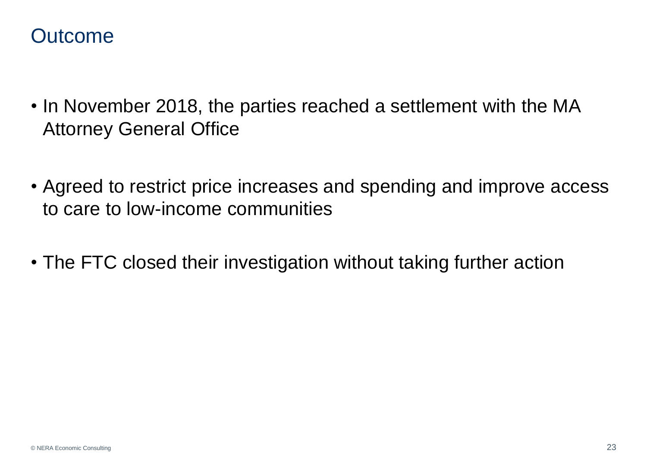#### **Outcome**

- In November 2018, the parties reached a settlement with the MA Attorney General Office
- Agreed to restrict price increases and spending and improve access to care to low-income communities
- The FTC closed their investigation without taking further action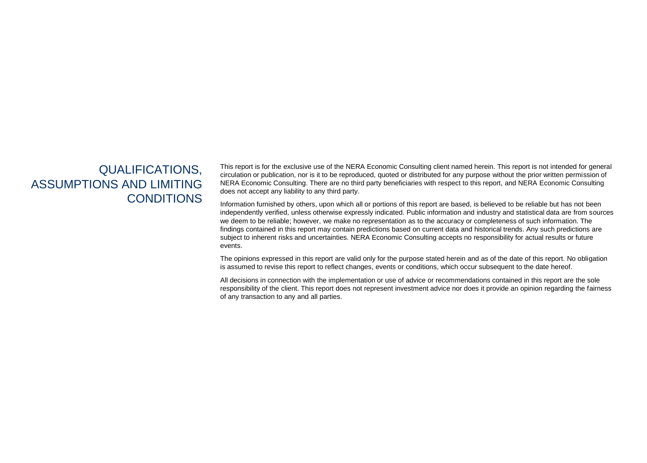#### QUALIFICATIONS, ASSUMPTIONS AND LIMITING **CONDITIONS**

This report is for the exclusive use of the NERA Economic Consulting client named herein. This report is not intended for general circulation or publication, nor is it to be reproduced, quoted or distributed for any purpose without the prior written permission of NERA Economic Consulting. There are no third party beneficiaries with respect to this report, and NERA Economic Consulting does not accept any liability to any third party.

Information furnished by others, upon which all or portions of this report are based, is believed to be reliable but has not been independently verified, unless otherwise expressly indicated. Public information and industry and statistical data are from sources we deem to be reliable; however, we make no representation as to the accuracy or completeness of such information. The findings contained in this report may contain predictions based on current data and historical trends. Any such predictions are subject to inherent risks and uncertainties. NERA Economic Consulting accepts no responsibility for actual results or future events.

The opinions expressed in this report are valid only for the purpose stated herein and as of the date of this report. No obligation is assumed to revise this report to reflect changes, events or conditions, which occur subsequent to the date hereof.

All decisions in connection with the implementation or use of advice or recommendations contained in this report are the sole responsibility of the client. This report does not represent investment advice nor does it provide an opinion regarding the fairness of any transaction to any and all parties.